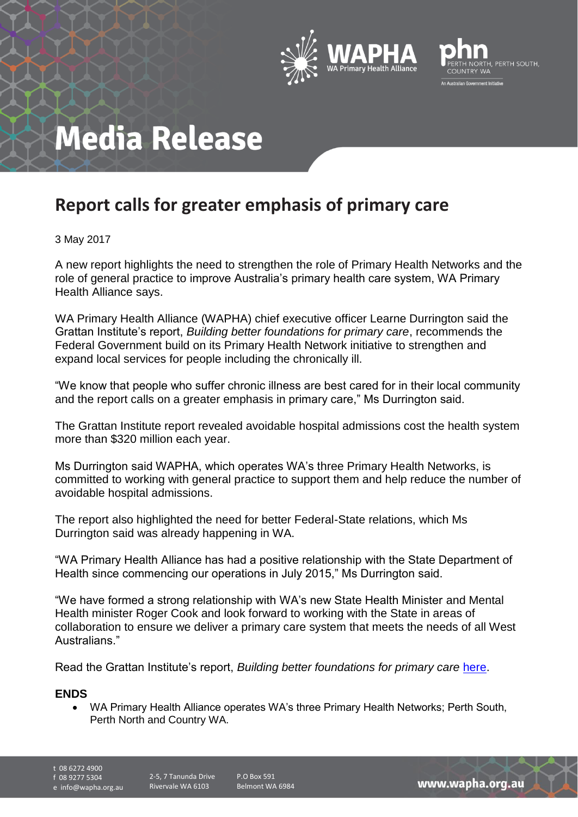



# **Media Release**

### **Report calls for greater emphasis of primary care**

### 3 May 2017

A new report highlights the need to strengthen the role of Primary Health Networks and the role of general practice to improve Australia's primary health care system, WA Primary Health Alliance says.

WA Primary Health Alliance (WAPHA) chief executive officer Learne Durrington said the Grattan Institute's report, *Building better foundations for primary care*, recommends the Federal Government build on its Primary Health Network initiative to strengthen and expand local services for people including the chronically ill.

"We know that people who suffer chronic illness are best cared for in their local community and the report calls on a greater emphasis in primary care," Ms Durrington said.

The Grattan Institute report revealed avoidable hospital admissions cost the health system more than \$320 million each year.

Ms Durrington said WAPHA, which operates WA's three Primary Health Networks, is committed to working with general practice to support them and help reduce the number of avoidable hospital admissions.

The report also highlighted the need for better Federal-State relations, which Ms Durrington said was already happening in WA.

"WA Primary Health Alliance has had a positive relationship with the State Department of Health since commencing our operations in July 2015," Ms Durrington said.

"We have formed a strong relationship with WA's new State Health Minister and Mental Health minister Roger Cook and look forward to working with the State in areas of collaboration to ensure we deliver a primary care system that meets the needs of all West Australians."

Read the Grattan Institute's report, *Building better foundations for primary care* [here.](https://grattan.edu.au/wp-content/uploads/2017/04/Building-better-foundations-for-primary-care.pdf)

#### **ENDS**

• WA Primary Health Alliance operates WA's three Primary Health Networks; Perth South, Perth North and Country WA.

t 08 6272 4900

f 08 9277 5304

e info@wapha.org.au

P.O Box 591 Belmont WA 6984